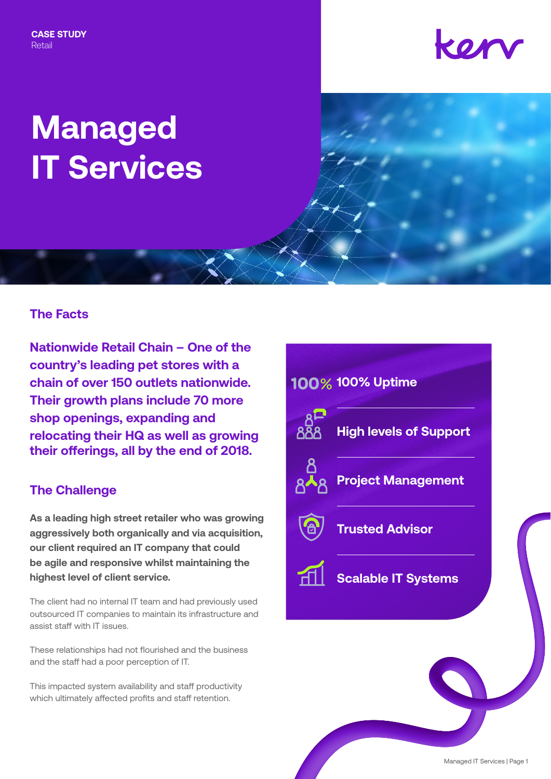**CASE STUDY** Retail

## kor

# **Managed IT Services**

#### **The Facts**

**Nationwide Retail Chain – One of the country's leading pet stores with a chain of over 150 outlets nationwide. Their growth plans include 70 more shop openings, expanding and relocating their HQ as well as growing their offerings, all by the end of 2018.**

#### **The Challenge**

**As a leading high street retailer who was growing aggressively both organically and via acquisition, our client required an IT company that could be agile and responsive whilst maintaining the highest level of client service.**

The client had no internal IT team and had previously used outsourced IT companies to maintain its infrastructure and assist staff with IT issues.

These relationships had not flourished and the business and the staff had a poor perception of IT.

This impacted system availability and staff productivity which ultimately affected profits and staff retention.

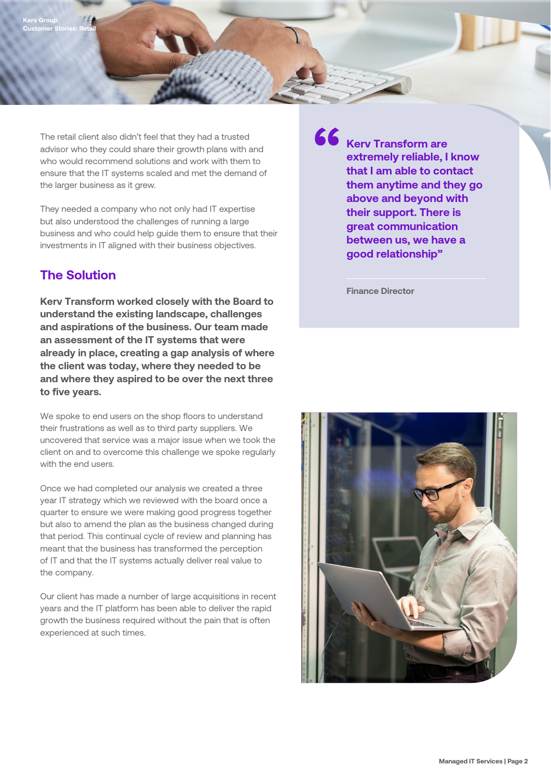The retail client also didn't feel that they had a trusted advisor who they could share their growth plans with and who would recommend solutions and work with them to ensure that the IT systems scaled and met the demand of the larger business as it grew.

They needed a company who not only had IT expertise but also understood the challenges of running a large business and who could help guide them to ensure that their investments in IT aligned with their business objectives.

#### **The Solution**

**Kerv Transform worked closely with the Board to understand the existing landscape, challenges and aspirations of the business. Our team made an assessment of the IT systems that were already in place, creating a gap analysis of where the client was today, where they needed to be and where they aspired to be over the next three to five years.**

We spoke to end users on the shop floors to understand their frustrations as well as to third party suppliers. We uncovered that service was a major issue when we took the client on and to overcome this challenge we spoke regularly with the end users.

Once we had completed our analysis we created a three year IT strategy which we reviewed with the board once a quarter to ensure we were making good progress together but also to amend the plan as the business changed during that period. This continual cycle of review and planning has meant that the business has transformed the perception of IT and that the IT systems actually deliver real value to the company.

Our client has made a number of large acquisitions in recent years and the IT platform has been able to deliver the rapid growth the business required without the pain that is often experienced at such times.

**Kerv Transform are extremely reliable, I know that I am able to contact them anytime and they go above and beyond with their support. There is great communication between us, we have a good relationship"**

**Finance Director**